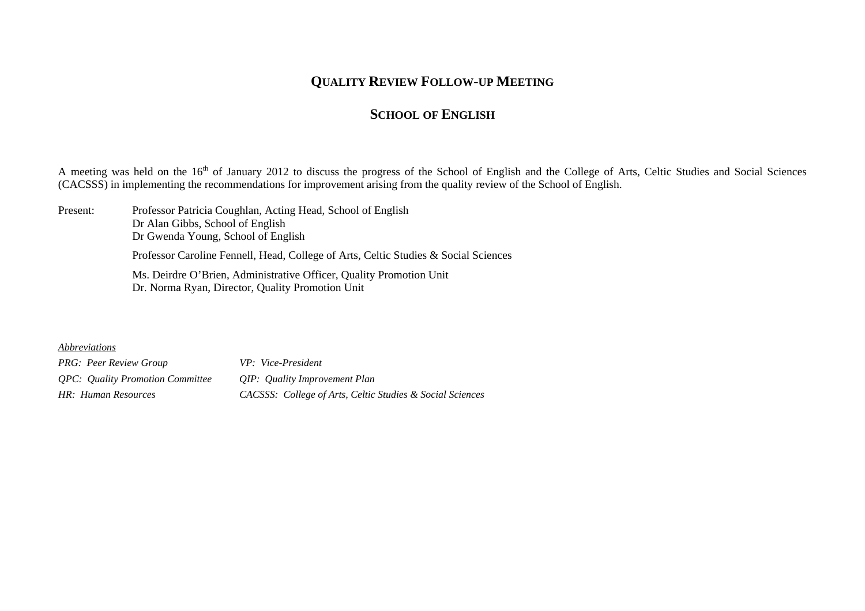## **QUALITY REVIEW FOLLOW-UP MEETING**

## **SCHOOL OF ENGLISH**

A meeting was held on the 16<sup>th</sup> of January 2012 to discuss the progress of the School of English and the College of Arts, Celtic Studies and Social Sciences (CACSSS) in implementing the recommendations for improvement arising from the quality review of the School of English.

Present: Professor Patricia Coughlan, Acting Head, School of English Dr Alan Gibbs, School of English Dr Gwenda Young, School of English Professor Caroline Fennell, Head, College of Arts, Celtic Studies & Social Sciences Ms. Deirdre O'Brien, Administrative Officer, Quality Promotion Unit Dr. Norma Ryan, Director, Quality Promotion Unit

## *Abbreviations*

*PRG: Peer Review Group VP: Vice-President QPC: Quality Promotion Committee QIP: Quality Improvement Plan HR: Human Resources CACSSS: College of Arts, Celtic Studies & Social Sciences*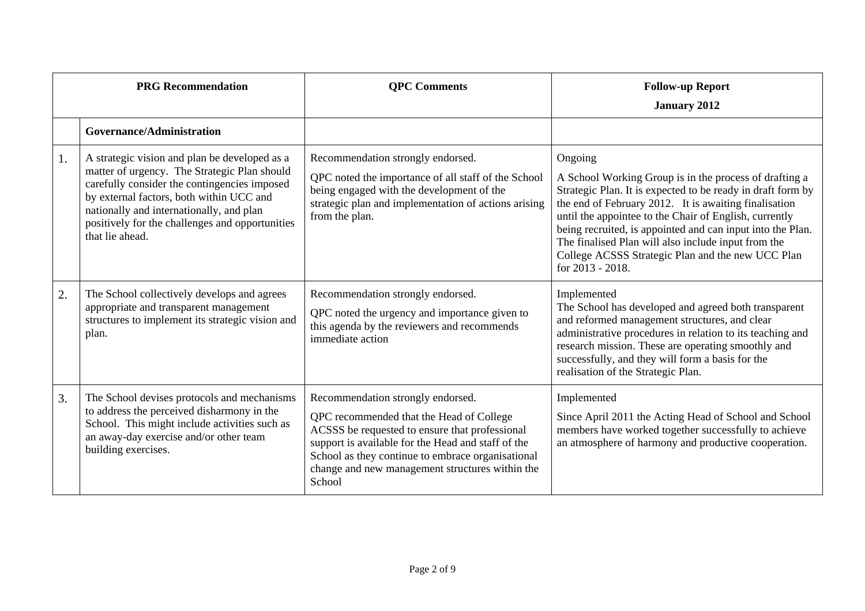| <b>PRG</b> Recommendation |                                                                                                                                                                                                                                                                                                             | <b>QPC</b> Comments                                                                                                                                                                                                                                                                                     | <b>Follow-up Report</b><br><b>January 2012</b>                                                                                                                                                                                                                                                                                                                                                                                                    |
|---------------------------|-------------------------------------------------------------------------------------------------------------------------------------------------------------------------------------------------------------------------------------------------------------------------------------------------------------|---------------------------------------------------------------------------------------------------------------------------------------------------------------------------------------------------------------------------------------------------------------------------------------------------------|---------------------------------------------------------------------------------------------------------------------------------------------------------------------------------------------------------------------------------------------------------------------------------------------------------------------------------------------------------------------------------------------------------------------------------------------------|
|                           | Governance/Administration                                                                                                                                                                                                                                                                                   |                                                                                                                                                                                                                                                                                                         |                                                                                                                                                                                                                                                                                                                                                                                                                                                   |
| 1.                        | A strategic vision and plan be developed as a<br>matter of urgency. The Strategic Plan should<br>carefully consider the contingencies imposed<br>by external factors, both within UCC and<br>nationally and internationally, and plan<br>positively for the challenges and opportunities<br>that lie ahead. | Recommendation strongly endorsed.<br>QPC noted the importance of all staff of the School<br>being engaged with the development of the<br>strategic plan and implementation of actions arising<br>from the plan.                                                                                         | Ongoing<br>A School Working Group is in the process of drafting a<br>Strategic Plan. It is expected to be ready in draft form by<br>the end of February 2012. It is awaiting finalisation<br>until the appointee to the Chair of English, currently<br>being recruited, is appointed and can input into the Plan.<br>The finalised Plan will also include input from the<br>College ACSSS Strategic Plan and the new UCC Plan<br>for 2013 - 2018. |
| 2.                        | The School collectively develops and agrees<br>appropriate and transparent management<br>structures to implement its strategic vision and<br>plan.                                                                                                                                                          | Recommendation strongly endorsed.<br>QPC noted the urgency and importance given to<br>this agenda by the reviewers and recommends<br>immediate action                                                                                                                                                   | Implemented<br>The School has developed and agreed both transparent<br>and reformed management structures, and clear<br>administrative procedures in relation to its teaching and<br>research mission. These are operating smoothly and<br>successfully, and they will form a basis for the<br>realisation of the Strategic Plan.                                                                                                                 |
| 3.                        | The School devises protocols and mechanisms<br>to address the perceived disharmony in the<br>School. This might include activities such as<br>an away-day exercise and/or other team<br>building exercises.                                                                                                 | Recommendation strongly endorsed.<br>QPC recommended that the Head of College<br>ACSSS be requested to ensure that professional<br>support is available for the Head and staff of the<br>School as they continue to embrace organisational<br>change and new management structures within the<br>School | Implemented<br>Since April 2011 the Acting Head of School and School<br>members have worked together successfully to achieve<br>an atmosphere of harmony and productive cooperation.                                                                                                                                                                                                                                                              |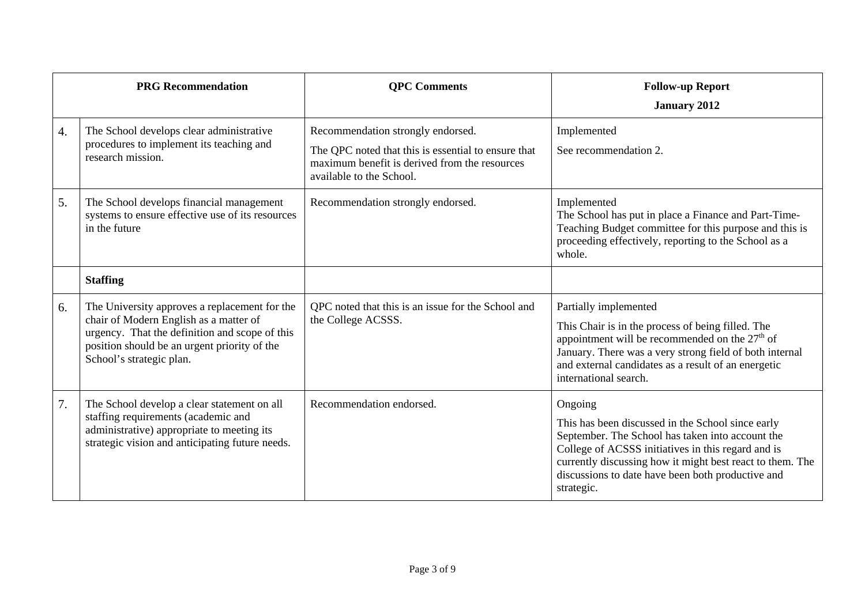|                  | <b>PRG Recommendation</b>                                                                                                                                                                                             | <b>QPC</b> Comments                                                                                                                                                   | <b>Follow-up Report</b><br><b>January 2012</b>                                                                                                                                                                                                                                                         |
|------------------|-----------------------------------------------------------------------------------------------------------------------------------------------------------------------------------------------------------------------|-----------------------------------------------------------------------------------------------------------------------------------------------------------------------|--------------------------------------------------------------------------------------------------------------------------------------------------------------------------------------------------------------------------------------------------------------------------------------------------------|
| $\overline{4}$ . | The School develops clear administrative<br>procedures to implement its teaching and<br>research mission.                                                                                                             | Recommendation strongly endorsed.<br>The QPC noted that this is essential to ensure that<br>maximum benefit is derived from the resources<br>available to the School. | Implemented<br>See recommendation 2.                                                                                                                                                                                                                                                                   |
| 5.               | The School develops financial management<br>systems to ensure effective use of its resources<br>in the future                                                                                                         | Recommendation strongly endorsed.                                                                                                                                     | Implemented<br>The School has put in place a Finance and Part-Time-<br>Teaching Budget committee for this purpose and this is<br>proceeding effectively, reporting to the School as a<br>whole.                                                                                                        |
|                  | <b>Staffing</b>                                                                                                                                                                                                       |                                                                                                                                                                       |                                                                                                                                                                                                                                                                                                        |
| 6.               | The University approves a replacement for the<br>chair of Modern English as a matter of<br>urgency. That the definition and scope of this<br>position should be an urgent priority of the<br>School's strategic plan. | QPC noted that this is an issue for the School and<br>the College ACSSS.                                                                                              | Partially implemented<br>This Chair is in the process of being filled. The<br>appointment will be recommended on the 27 <sup>th</sup> of<br>January. There was a very strong field of both internal<br>and external candidates as a result of an energetic<br>international search.                    |
| 7.               | The School develop a clear statement on all<br>staffing requirements (academic and<br>administrative) appropriate to meeting its<br>strategic vision and anticipating future needs.                                   | Recommendation endorsed.                                                                                                                                              | Ongoing<br>This has been discussed in the School since early<br>September. The School has taken into account the<br>College of ACSSS initiatives in this regard and is<br>currently discussing how it might best react to them. The<br>discussions to date have been both productive and<br>strategic. |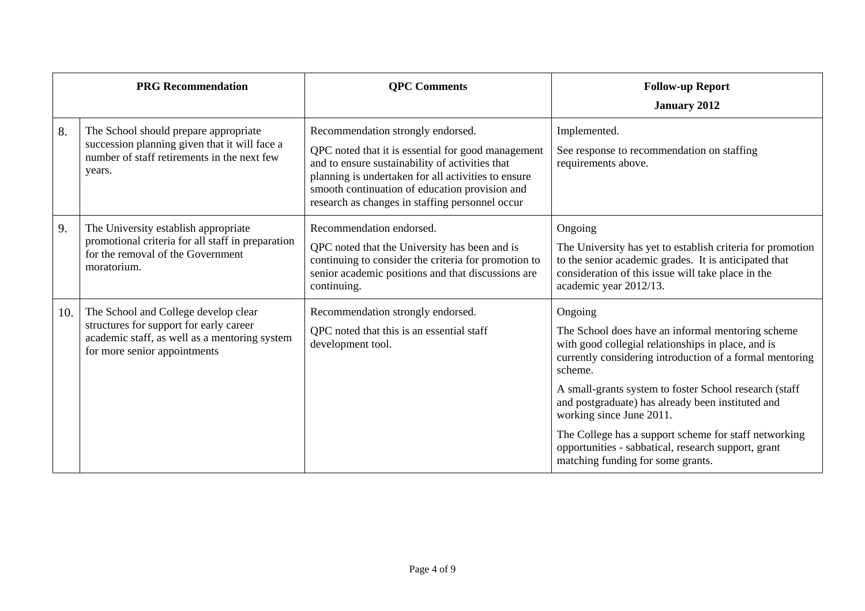|     | <b>PRG</b> Recommendation                                                                                                                                        | <b>QPC</b> Comments                                                                                                                                                                                                                                                                                    | <b>Follow-up Report</b><br><b>January 2012</b>                                                                                                                                                                                                                                                                                                                                                                                                                                            |
|-----|------------------------------------------------------------------------------------------------------------------------------------------------------------------|--------------------------------------------------------------------------------------------------------------------------------------------------------------------------------------------------------------------------------------------------------------------------------------------------------|-------------------------------------------------------------------------------------------------------------------------------------------------------------------------------------------------------------------------------------------------------------------------------------------------------------------------------------------------------------------------------------------------------------------------------------------------------------------------------------------|
| 8.  | The School should prepare appropriate<br>succession planning given that it will face a<br>number of staff retirements in the next few<br>years.                  | Recommendation strongly endorsed.<br>QPC noted that it is essential for good management<br>and to ensure sustainability of activities that<br>planning is undertaken for all activities to ensure<br>smooth continuation of education provision and<br>research as changes in staffing personnel occur | Implemented.<br>See response to recommendation on staffing<br>requirements above.                                                                                                                                                                                                                                                                                                                                                                                                         |
| 9.  | The University establish appropriate<br>promotional criteria for all staff in preparation<br>for the removal of the Government<br>moratorium.                    | Recommendation endorsed.<br>QPC noted that the University has been and is<br>continuing to consider the criteria for promotion to<br>senior academic positions and that discussions are<br>continuing.                                                                                                 | Ongoing<br>The University has yet to establish criteria for promotion<br>to the senior academic grades. It is anticipated that<br>consideration of this issue will take place in the<br>academic year 2012/13.                                                                                                                                                                                                                                                                            |
| 10. | The School and College develop clear<br>structures for support for early career<br>academic staff, as well as a mentoring system<br>for more senior appointments | Recommendation strongly endorsed.<br>QPC noted that this is an essential staff<br>development tool.                                                                                                                                                                                                    | Ongoing<br>The School does have an informal mentoring scheme<br>with good collegial relationships in place, and is<br>currently considering introduction of a formal mentoring<br>scheme.<br>A small-grants system to foster School research (staff<br>and postgraduate) has already been instituted and<br>working since June 2011.<br>The College has a support scheme for staff networking<br>opportunities - sabbatical, research support, grant<br>matching funding for some grants. |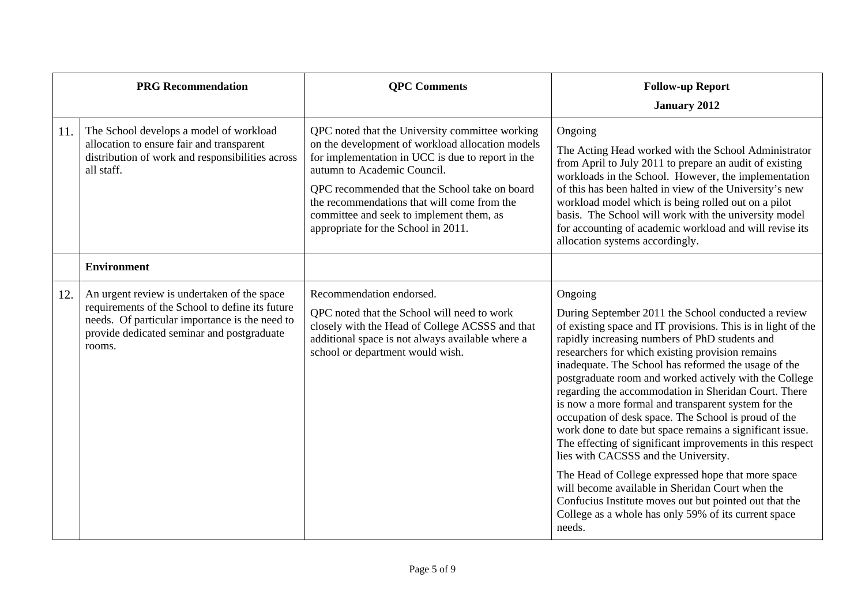| <b>PRG Recommendation</b> |                                                                                                                                                                                                          | <b>QPC</b> Comments                                                                                                                                                                                                                                                                                                                                                        | <b>Follow-up Report</b><br><b>January 2012</b>                                                                                                                                                                                                                                                                                                                                                                                                                                                                                                                                                                                                                                                                                                                                                                                                                                                                                       |
|---------------------------|----------------------------------------------------------------------------------------------------------------------------------------------------------------------------------------------------------|----------------------------------------------------------------------------------------------------------------------------------------------------------------------------------------------------------------------------------------------------------------------------------------------------------------------------------------------------------------------------|--------------------------------------------------------------------------------------------------------------------------------------------------------------------------------------------------------------------------------------------------------------------------------------------------------------------------------------------------------------------------------------------------------------------------------------------------------------------------------------------------------------------------------------------------------------------------------------------------------------------------------------------------------------------------------------------------------------------------------------------------------------------------------------------------------------------------------------------------------------------------------------------------------------------------------------|
| 11.                       | The School develops a model of workload<br>allocation to ensure fair and transparent<br>distribution of work and responsibilities across<br>all staff.                                                   | QPC noted that the University committee working<br>on the development of workload allocation models<br>for implementation in UCC is due to report in the<br>autumn to Academic Council.<br>QPC recommended that the School take on board<br>the recommendations that will come from the<br>committee and seek to implement them, as<br>appropriate for the School in 2011. | Ongoing<br>The Acting Head worked with the School Administrator<br>from April to July 2011 to prepare an audit of existing<br>workloads in the School. However, the implementation<br>of this has been halted in view of the University's new<br>workload model which is being rolled out on a pilot<br>basis. The School will work with the university model<br>for accounting of academic workload and will revise its<br>allocation systems accordingly.                                                                                                                                                                                                                                                                                                                                                                                                                                                                          |
|                           | <b>Environment</b>                                                                                                                                                                                       |                                                                                                                                                                                                                                                                                                                                                                            |                                                                                                                                                                                                                                                                                                                                                                                                                                                                                                                                                                                                                                                                                                                                                                                                                                                                                                                                      |
| 12.                       | An urgent review is undertaken of the space<br>requirements of the School to define its future<br>needs. Of particular importance is the need to<br>provide dedicated seminar and postgraduate<br>rooms. | Recommendation endorsed.<br>QPC noted that the School will need to work<br>closely with the Head of College ACSSS and that<br>additional space is not always available where a<br>school or department would wish.                                                                                                                                                         | Ongoing<br>During September 2011 the School conducted a review<br>of existing space and IT provisions. This is in light of the<br>rapidly increasing numbers of PhD students and<br>researchers for which existing provision remains<br>inadequate. The School has reformed the usage of the<br>postgraduate room and worked actively with the College<br>regarding the accommodation in Sheridan Court. There<br>is now a more formal and transparent system for the<br>occupation of desk space. The School is proud of the<br>work done to date but space remains a significant issue.<br>The effecting of significant improvements in this respect<br>lies with CACSSS and the University.<br>The Head of College expressed hope that more space<br>will become available in Sheridan Court when the<br>Confucius Institute moves out but pointed out that the<br>College as a whole has only 59% of its current space<br>needs. |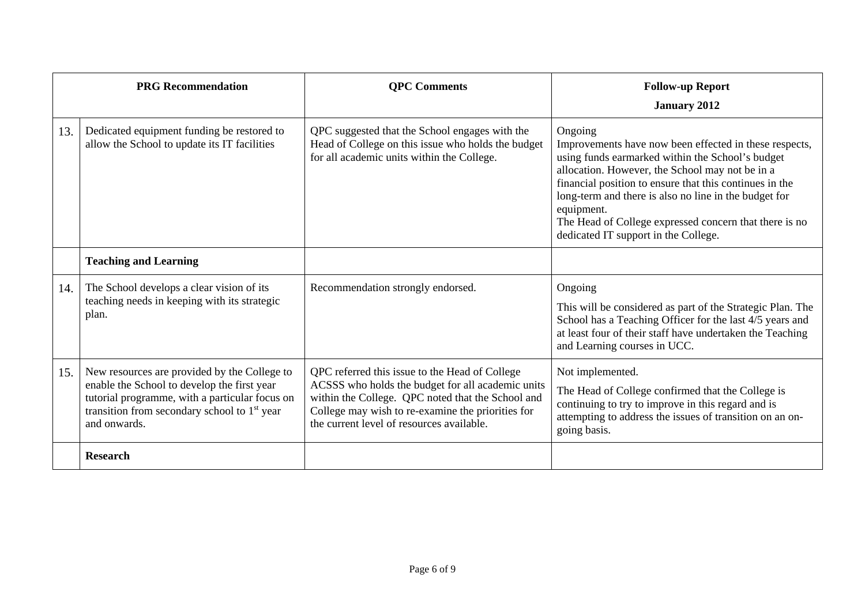|     | <b>PRG Recommendation</b>                                                                                                                                                                                                 | <b>QPC</b> Comments                                                                                                                                                                                                                                        | <b>Follow-up Report</b><br><b>January 2012</b>                                                                                                                                                                                                                                                                                                                                                               |
|-----|---------------------------------------------------------------------------------------------------------------------------------------------------------------------------------------------------------------------------|------------------------------------------------------------------------------------------------------------------------------------------------------------------------------------------------------------------------------------------------------------|--------------------------------------------------------------------------------------------------------------------------------------------------------------------------------------------------------------------------------------------------------------------------------------------------------------------------------------------------------------------------------------------------------------|
| 13. | Dedicated equipment funding be restored to<br>allow the School to update its IT facilities                                                                                                                                | QPC suggested that the School engages with the<br>Head of College on this issue who holds the budget<br>for all academic units within the College.                                                                                                         | Ongoing<br>Improvements have now been effected in these respects,<br>using funds earmarked within the School's budget<br>allocation. However, the School may not be in a<br>financial position to ensure that this continues in the<br>long-term and there is also no line in the budget for<br>equipment.<br>The Head of College expressed concern that there is no<br>dedicated IT support in the College. |
|     | <b>Teaching and Learning</b>                                                                                                                                                                                              |                                                                                                                                                                                                                                                            |                                                                                                                                                                                                                                                                                                                                                                                                              |
| 14. | The School develops a clear vision of its<br>teaching needs in keeping with its strategic<br>plan.                                                                                                                        | Recommendation strongly endorsed.                                                                                                                                                                                                                          | Ongoing<br>This will be considered as part of the Strategic Plan. The<br>School has a Teaching Officer for the last 4/5 years and<br>at least four of their staff have undertaken the Teaching<br>and Learning courses in UCC.                                                                                                                                                                               |
| 15. | New resources are provided by the College to<br>enable the School to develop the first year<br>tutorial programme, with a particular focus on<br>transition from secondary school to 1 <sup>st</sup> year<br>and onwards. | QPC referred this issue to the Head of College<br>ACSSS who holds the budget for all academic units<br>within the College. QPC noted that the School and<br>College may wish to re-examine the priorities for<br>the current level of resources available. | Not implemented.<br>The Head of College confirmed that the College is<br>continuing to try to improve in this regard and is<br>attempting to address the issues of transition on an on-<br>going basis.                                                                                                                                                                                                      |
|     | <b>Research</b>                                                                                                                                                                                                           |                                                                                                                                                                                                                                                            |                                                                                                                                                                                                                                                                                                                                                                                                              |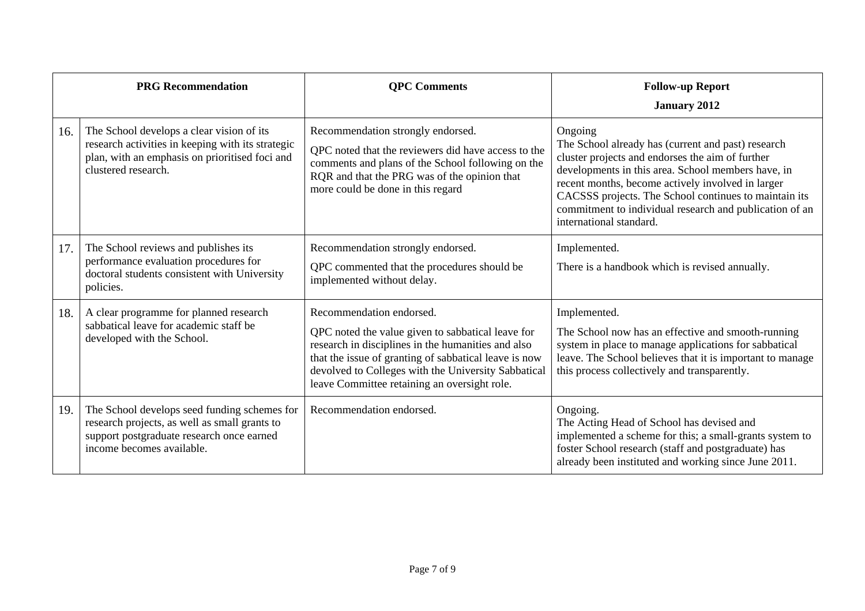|     | <b>PRG Recommendation</b>                                                                                                                                               | <b>QPC</b> Comments                                                                                                                                                                                                                                                                                 | <b>Follow-up Report</b><br><b>January 2012</b>                                                                                                                                                                                                                                                                                                                              |
|-----|-------------------------------------------------------------------------------------------------------------------------------------------------------------------------|-----------------------------------------------------------------------------------------------------------------------------------------------------------------------------------------------------------------------------------------------------------------------------------------------------|-----------------------------------------------------------------------------------------------------------------------------------------------------------------------------------------------------------------------------------------------------------------------------------------------------------------------------------------------------------------------------|
| 16. | The School develops a clear vision of its<br>research activities in keeping with its strategic<br>plan, with an emphasis on prioritised foci and<br>clustered research. | Recommendation strongly endorsed.<br>QPC noted that the reviewers did have access to the<br>comments and plans of the School following on the<br>RQR and that the PRG was of the opinion that<br>more could be done in this regard                                                                  | Ongoing<br>The School already has (current and past) research<br>cluster projects and endorses the aim of further<br>developments in this area. School members have, in<br>recent months, become actively involved in larger<br>CACSSS projects. The School continues to maintain its<br>commitment to individual research and publication of an<br>international standard. |
| 17. | The School reviews and publishes its<br>performance evaluation procedures for<br>doctoral students consistent with University<br>policies.                              | Recommendation strongly endorsed.<br>QPC commented that the procedures should be<br>implemented without delay.                                                                                                                                                                                      | Implemented.<br>There is a handbook which is revised annually.                                                                                                                                                                                                                                                                                                              |
| 18. | A clear programme for planned research<br>sabbatical leave for academic staff be<br>developed with the School.                                                          | Recommendation endorsed.<br>QPC noted the value given to sabbatical leave for<br>research in disciplines in the humanities and also<br>that the issue of granting of sabbatical leave is now<br>devolved to Colleges with the University Sabbatical<br>leave Committee retaining an oversight role. | Implemented.<br>The School now has an effective and smooth-running<br>system in place to manage applications for sabbatical<br>leave. The School believes that it is important to manage<br>this process collectively and transparently.                                                                                                                                    |
| 19. | The School develops seed funding schemes for<br>research projects, as well as small grants to<br>support postgraduate research once earned<br>income becomes available. | Recommendation endorsed.                                                                                                                                                                                                                                                                            | Ongoing.<br>The Acting Head of School has devised and<br>implemented a scheme for this; a small-grants system to<br>foster School research (staff and postgraduate) has<br>already been instituted and working since June 2011.                                                                                                                                             |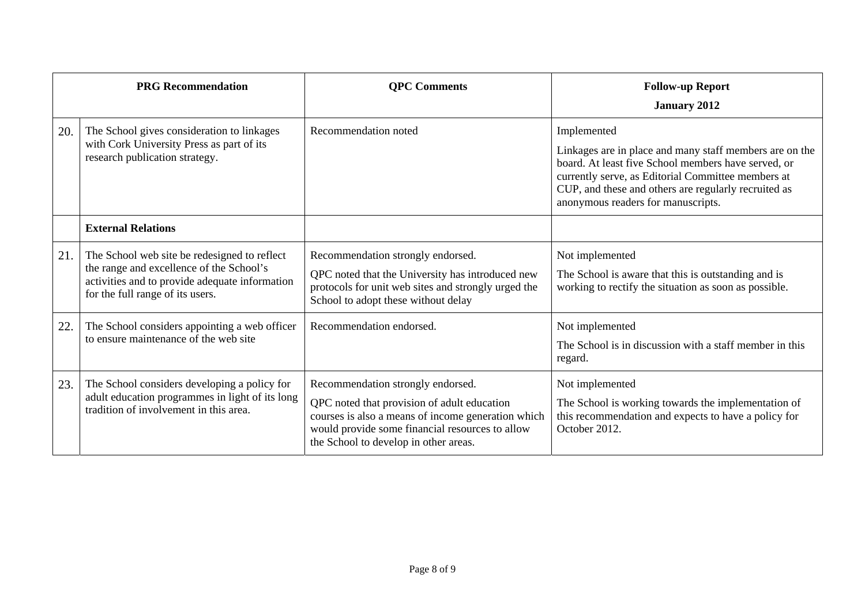| <b>PRG Recommendation</b> |                                                                                                                                                                                | <b>QPC Comments</b>                                                                                                                                                                                                                | <b>Follow-up Report</b>                                                                                                                                                                                                                                                           |
|---------------------------|--------------------------------------------------------------------------------------------------------------------------------------------------------------------------------|------------------------------------------------------------------------------------------------------------------------------------------------------------------------------------------------------------------------------------|-----------------------------------------------------------------------------------------------------------------------------------------------------------------------------------------------------------------------------------------------------------------------------------|
|                           |                                                                                                                                                                                |                                                                                                                                                                                                                                    | <b>January 2012</b>                                                                                                                                                                                                                                                               |
| 20.                       | The School gives consideration to linkages<br>with Cork University Press as part of its<br>research publication strategy.                                                      | Recommendation noted                                                                                                                                                                                                               | Implemented<br>Linkages are in place and many staff members are on the<br>board. At least five School members have served, or<br>currently serve, as Editorial Committee members at<br>CUP, and these and others are regularly recruited as<br>anonymous readers for manuscripts. |
|                           | <b>External Relations</b>                                                                                                                                                      |                                                                                                                                                                                                                                    |                                                                                                                                                                                                                                                                                   |
| 21.                       | The School web site be redesigned to reflect<br>the range and excellence of the School's<br>activities and to provide adequate information<br>for the full range of its users. | Recommendation strongly endorsed.<br>QPC noted that the University has introduced new<br>protocols for unit web sites and strongly urged the<br>School to adopt these without delay                                                | Not implemented<br>The School is aware that this is outstanding and is<br>working to rectify the situation as soon as possible.                                                                                                                                                   |
| 22.                       | The School considers appointing a web officer<br>to ensure maintenance of the web site                                                                                         | Recommendation endorsed.                                                                                                                                                                                                           | Not implemented<br>The School is in discussion with a staff member in this<br>regard.                                                                                                                                                                                             |
| 23.                       | The School considers developing a policy for<br>adult education programmes in light of its long<br>tradition of involvement in this area.                                      | Recommendation strongly endorsed.<br>QPC noted that provision of adult education<br>courses is also a means of income generation which<br>would provide some financial resources to allow<br>the School to develop in other areas. | Not implemented<br>The School is working towards the implementation of<br>this recommendation and expects to have a policy for<br>October 2012.                                                                                                                                   |